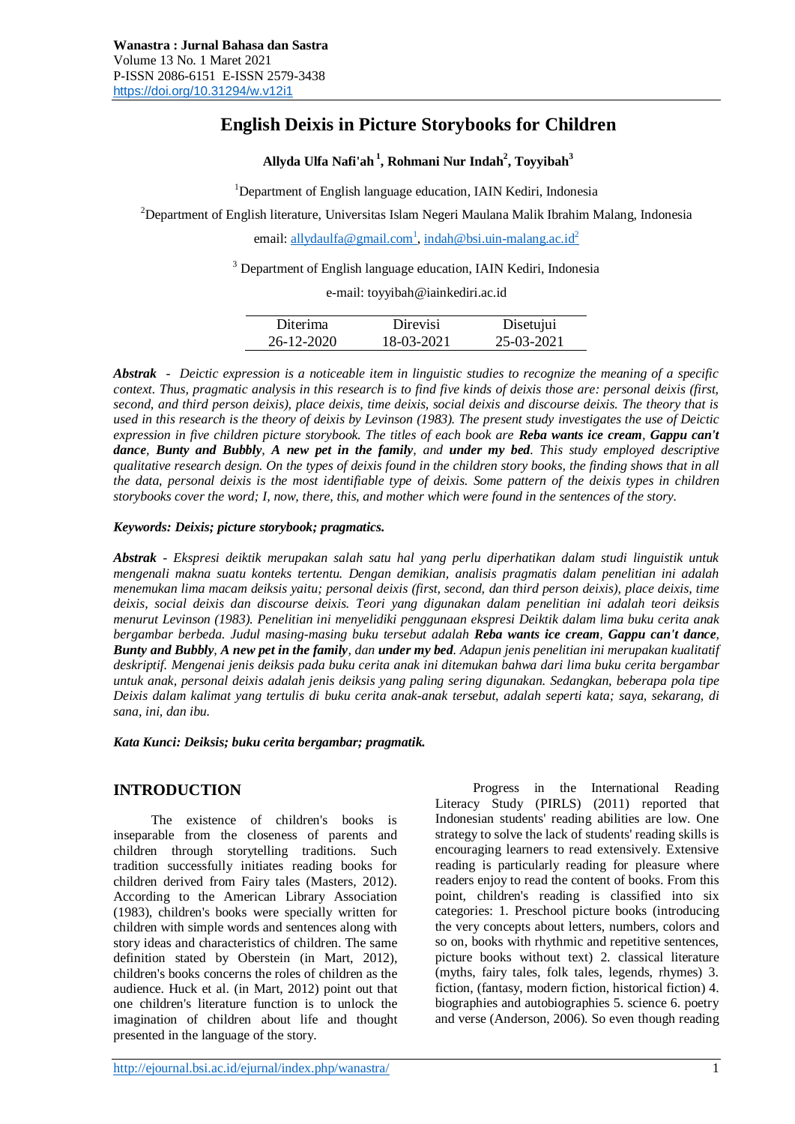# **English Deixis in Picture Storybooks for Children**

**Allyda Ulfa Nafi'ah <sup>1</sup> , Rohmani Nur Indah<sup>2</sup> , Toyyibah<sup>3</sup>**

<sup>1</sup>Department of English language education, IAIN Kediri, Indonesia

 $2D$ epartment of English literature, Universitas Islam Negeri Maulana Malik Ibrahim Malang, Indonesia

email[: allydaulfa@gmail.com](mailto:allydaulfa@gmail.com1)<sup>1</sup>[, indah@bsi.uin-malang.ac.id](mailto:indah@bsi.uin-malang.ac.id2)<sup>2</sup>

<sup>3</sup> Department of English language education, IAIN Kediri, Indonesia

e-mail: toyyibah@iainkediri.ac.id

| Diterima   | <b>Direvisi</b> | Disetujui  |
|------------|-----------------|------------|
| 26-12-2020 | 18-03-2021      | 25-03-2021 |

*Abstrak - Deictic expression is a noticeable item in linguistic studies to recognize the meaning of a specific context. Thus, pragmatic analysis in this research is to find five kinds of deixis those are: personal deixis (first, second, and third person deixis), place deixis, time deixis, social deixis and discourse deixis. The theory that is used in this research is the theory of deixis by Levinson (1983). The present study investigates the use of Deictic expression in five children picture storybook. The titles of each book are Reba wants ice cream, Gappu can't dance, Bunty and Bubbly, A new pet in the family, and under my bed. This study employed descriptive qualitative research design. On the types of deixis found in the children story books, the finding shows that in all the data, personal deixis is the most identifiable type of deixis. Some pattern of the deixis types in children storybooks cover the word; I, now, there, this, and mother which were found in the sentences of the story.* 

## *Keywords: Deixis; picture storybook; pragmatics.*

*Abstrak - Ekspresi deiktik merupakan salah satu hal yang perlu diperhatikan dalam studi linguistik untuk mengenali makna suatu konteks tertentu. Dengan demikian, analisis pragmatis dalam penelitian ini adalah menemukan lima macam deiksis yaitu; personal deixis (first, second, dan third person deixis), place deixis, time deixis, social deixis dan discourse deixis. Teori yang digunakan dalam penelitian ini adalah teori deiksis menurut Levinson (1983). Penelitian ini menyelidiki penggunaan ekspresi Deiktik dalam lima buku cerita anak bergambar berbeda. Judul masing-masing buku tersebut adalah Reba wants ice cream, Gappu can't dance, Bunty and Bubbly, A new pet in the family, dan under my bed. Adapun jenis penelitian ini merupakan kualitatif deskriptif. Mengenai jenis deiksis pada buku cerita anak ini ditemukan bahwa dari lima buku cerita bergambar untuk anak, personal deixis adalah jenis deiksis yang paling sering digunakan. Sedangkan, beberapa pola tipe Deixis dalam kalimat yang tertulis di buku cerita anak-anak tersebut, adalah seperti kata; saya, sekarang, di sana, ini, dan ibu.*

*Kata Kunci: Deiksis; buku cerita bergambar; pragmatik.*

## **INTRODUCTION**

The existence of children's books is inseparable from the closeness of parents and children through storytelling traditions. Such tradition successfully initiates reading books for children derived from Fairy tales (Masters, 2012). According to the American Library Association (1983), children's books were specially written for children with simple words and sentences along with story ideas and characteristics of children. The same definition stated by Oberstein (in Mart, 2012), children's books concerns the roles of children as the audience. Huck et al. (in Mart, 2012) point out that one children's literature function is to unlock the imagination of children about life and thought presented in the language of the story.

Progress in the International Reading Literacy Study (PIRLS) (2011) reported that Indonesian students' reading abilities are low. One strategy to solve the lack of students' reading skills is encouraging learners to read extensively. Extensive reading is particularly reading for pleasure where readers enjoy to read the content of books. From this point, children's reading is classified into six categories: 1. Preschool picture books (introducing the very concepts about letters, numbers, colors and so on, books with rhythmic and repetitive sentences, picture books without text) 2. classical literature (myths, fairy tales, folk tales, legends, rhymes) 3. fiction, (fantasy, modern fiction, historical fiction) 4. biographies and autobiographies 5. science 6. poetry and verse (Anderson, 2006). So even though reading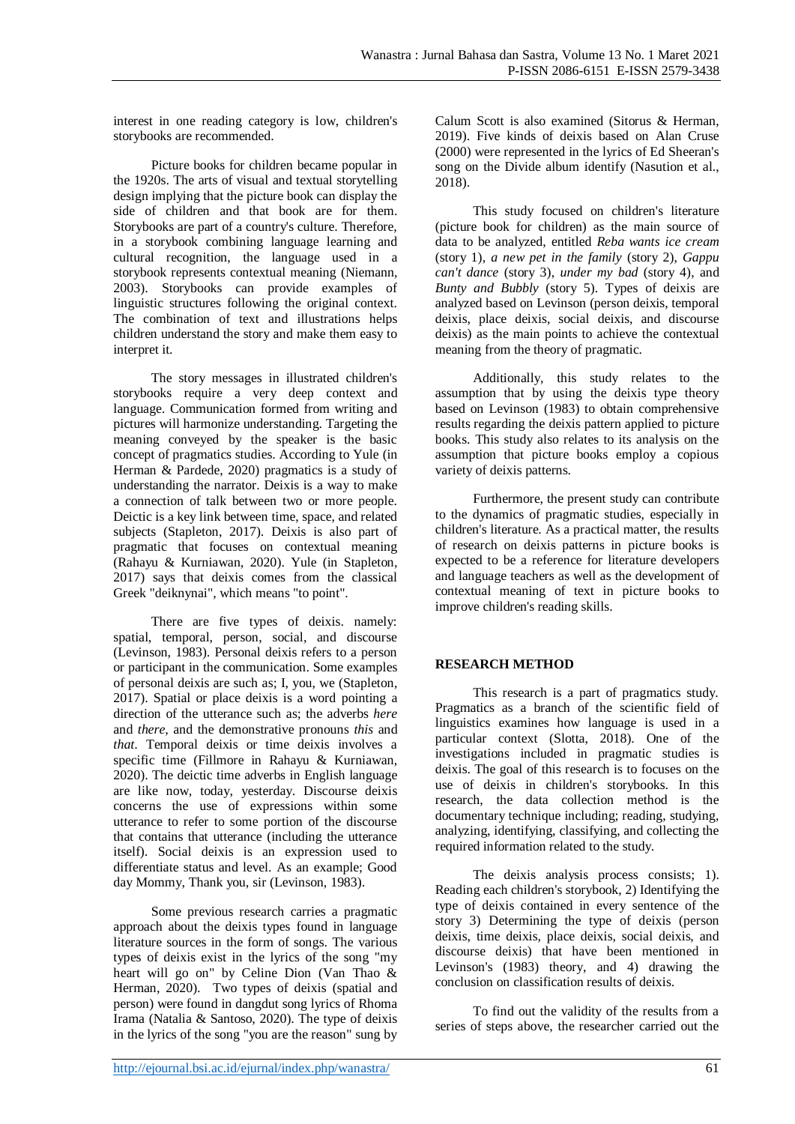interest in one reading category is low, children's storybooks are recommended.

Picture books for children became popular in the 1920s. The arts of visual and textual storytelling design implying that the picture book can display the side of children and that book are for them. Storybooks are part of a country's culture. Therefore, in a storybook combining language learning and cultural recognition, the language used in a storybook represents contextual meaning (Niemann, 2003). Storybooks can provide examples of linguistic structures following the original context. The combination of text and illustrations helps children understand the story and make them easy to interpret it.

The story messages in illustrated children's storybooks require a very deep context and language. Communication formed from writing and pictures will harmonize understanding. Targeting the meaning conveyed by the speaker is the basic concept of pragmatics studies. According to Yule (in Herman & Pardede, 2020) pragmatics is a study of understanding the narrator. Deixis is a way to make a connection of talk between two or more people. Deictic is a key link between time, space, and related subjects (Stapleton, 2017). Deixis is also part of pragmatic that focuses on contextual meaning (Rahayu & Kurniawan, 2020). Yule (in Stapleton, 2017) says that deixis comes from the classical Greek "deiknynai", which means "to point".

There are five types of deixis. namely: spatial, temporal, person, social, and discourse (Levinson, 1983). Personal deixis refers to a person or participant in the communication. Some examples of personal deixis are such as; I, you, we (Stapleton, 2017). Spatial or place deixis is a word pointing a direction of the utterance such as; the adverbs *here* and *there*, and the demonstrative pronouns *this* and *that*. Temporal deixis or time deixis involves a specific time (Fillmore in Rahayu & Kurniawan, 2020). The deictic time adverbs in English language are like now, today, yesterday. Discourse deixis concerns the use of expressions within some utterance to refer to some portion of the discourse that contains that utterance (including the utterance itself). Social deixis is an expression used to differentiate status and level. As an example; Good day Mommy, Thank you, sir (Levinson, 1983).

Some previous research carries a pragmatic approach about the deixis types found in language literature sources in the form of songs. The various types of deixis exist in the lyrics of the song "my heart will go on" by Celine Dion (Van Thao & Herman, 2020). Two types of deixis (spatial and person) were found in dangdut song lyrics of Rhoma Irama (Natalia & Santoso, 2020). The type of deixis in the lyrics of the song "you are the reason" sung by Calum Scott is also examined (Sitorus & Herman, 2019). Five kinds of deixis based on Alan Cruse (2000) were represented in the lyrics of Ed Sheeran's song on the Divide album identify (Nasution et al., 2018).

This study focused on children's literature (picture book for children) as the main source of data to be analyzed, entitled *Reba wants ice cream* (story 1), *a new pet in the family* (story 2), *Gappu can't dance* (story 3), *under my bad* (story 4), and *Bunty and Bubbly* (story 5). Types of deixis are analyzed based on Levinson (person deixis, temporal deixis, place deixis, social deixis, and discourse deixis) as the main points to achieve the contextual meaning from the theory of pragmatic.

Additionally, this study relates to the assumption that by using the deixis type theory based on Levinson (1983) to obtain comprehensive results regarding the deixis pattern applied to picture books. This study also relates to its analysis on the assumption that picture books employ a copious variety of deixis patterns.

Furthermore, the present study can contribute to the dynamics of pragmatic studies, especially in children's literature. As a practical matter, the results of research on deixis patterns in picture books is expected to be a reference for literature developers and language teachers as well as the development of contextual meaning of text in picture books to improve children's reading skills.

## **RESEARCH METHOD**

This research is a part of pragmatics study. Pragmatics as a branch of the scientific field of linguistics examines how language is used in a particular context (Slotta, 2018). One of the investigations included in pragmatic studies is deixis. The goal of this research is to focuses on the use of deixis in children's storybooks. In this research, the data collection method is the documentary technique including; reading, studying, analyzing, identifying, classifying, and collecting the required information related to the study.

The deixis analysis process consists; 1). Reading each children's storybook, 2) Identifying the type of deixis contained in every sentence of the story 3) Determining the type of deixis (person deixis, time deixis, place deixis, social deixis, and discourse deixis) that have been mentioned in Levinson's (1983) theory, and 4) drawing the conclusion on classification results of deixis.

To find out the validity of the results from a series of steps above, the researcher carried out the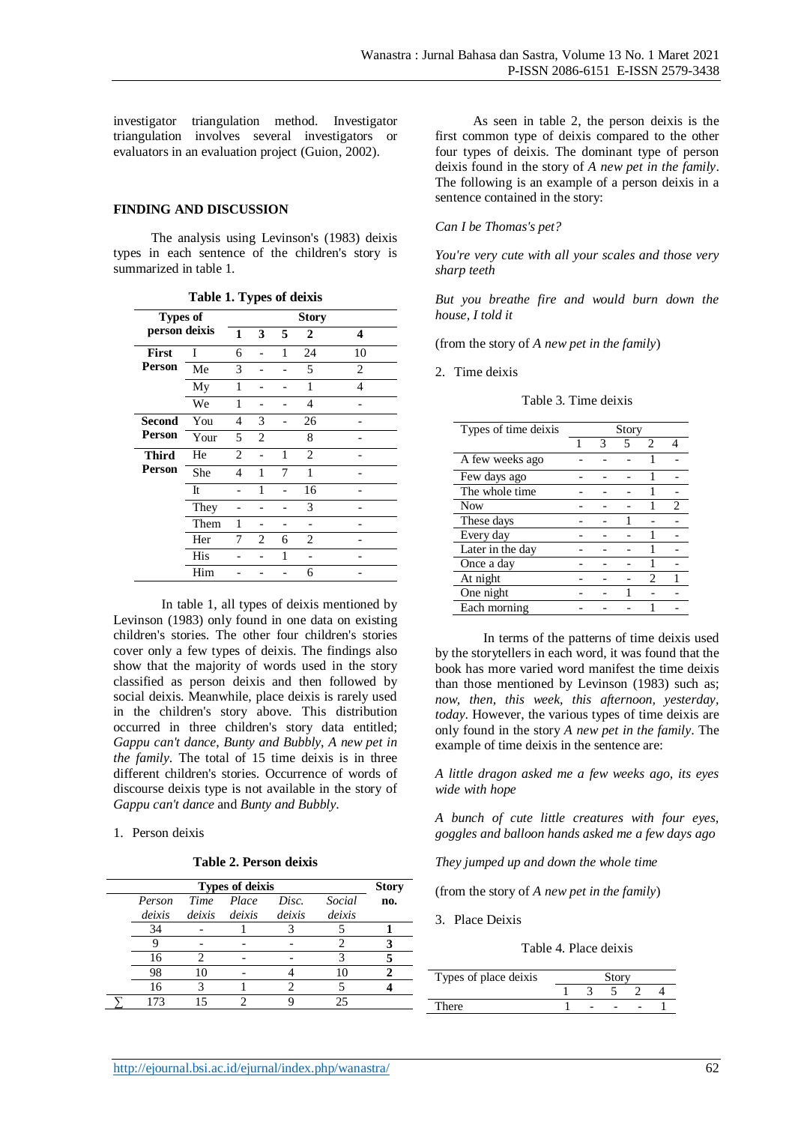investigator triangulation method. Investigator triangulation involves several investigators or evaluators in an evaluation project (Guion, 2002).

#### **FINDING AND DISCUSSION**

The analysis using Levinson's (1983) deixis types in each sentence of the children's story is summarized in table 1.

|               |                                 |                | ັ_             |   |                |                |  |  |
|---------------|---------------------------------|----------------|----------------|---|----------------|----------------|--|--|
|               | <b>Story</b><br><b>Types of</b> |                |                |   |                |                |  |  |
| person deixis |                                 | 1              | 3              | 5 | $\overline{2}$ | 4              |  |  |
| <b>First</b>  | Ī                               | 6              |                | 1 | 24             | 10             |  |  |
| Person        | Me                              | 3              |                |   | 5              | $\overline{c}$ |  |  |
|               | My                              | 1              |                |   | 1              | $\overline{4}$ |  |  |
|               | We                              | 1              |                |   | 4              |                |  |  |
| <b>Second</b> | You                             | 4              | 3              |   | 26             |                |  |  |
| <b>Person</b> | Your                            | 5              | $\overline{2}$ |   | 8              |                |  |  |
| <b>Third</b>  | He                              | $\overline{c}$ |                | 1 | $\overline{c}$ |                |  |  |
| Person        | She                             | 4              | 1              | 7 | 1              |                |  |  |
|               | It                              |                | 1              |   | 16             |                |  |  |
|               | They                            |                |                |   | 3              |                |  |  |
|               | Them                            | 1              |                |   |                |                |  |  |
|               | Her                             | 7              | $\overline{c}$ | 6 | $\overline{2}$ |                |  |  |
|               | His                             |                |                | 1 |                |                |  |  |
|               | Him                             |                |                |   | 6              |                |  |  |

**Table 1. Types of deixis**

In table 1, all types of deixis mentioned by Levinson (1983) only found in one data on existing children's stories. The other four children's stories cover only a few types of deixis. The findings also show that the majority of words used in the story classified as person deixis and then followed by social deixis. Meanwhile, place deixis is rarely used in the children's story above. This distribution occurred in three children's story data entitled; *Gappu can't dance*, *Bunty and Bubbly*, *A new pet in the family*. The total of 15 time deixis is in three different children's stories. Occurrence of words of discourse deixis type is not available in the story of *Gappu can't dance* and *Bunty and Bubbly*.

#### 1. Person deixis

**Table 2. Person deixis**

|        |        | <b>Types of deixis</b> |        |        | <b>Story</b> |
|--------|--------|------------------------|--------|--------|--------------|
| Person | Time   | Place                  | Disc.  | Social | no.          |
| deixis | deixis | deixis                 | deixis | deixis |              |
| 34     |        |                        |        |        |              |
|        |        |                        |        |        |              |
| 16     |        |                        |        |        |              |
| 98     |        |                        |        | 10     |              |
| 16     |        |                        |        |        |              |
| 173    |        |                        |        | 25     |              |

As seen in table 2, the person deixis is the first common type of deixis compared to the other four types of deixis. The dominant type of person deixis found in the story of *A new pet in the family*. The following is an example of a person deixis in a sentence contained in the story:

#### *Can I be Thomas's pet?*

*You're very cute with all your scales and those very sharp teeth* 

*But you breathe fire and would burn down the house, I told it* 

(from the story of *A new pet in the family*)

2. Time deixis

#### Table 3. Time deixis

| Types of time deixis | Story |   |   |                             |  |  |
|----------------------|-------|---|---|-----------------------------|--|--|
|                      | 1     | 3 | 5 | $\mathcal{D}_{\mathcal{L}}$ |  |  |
| A few weeks ago      |       |   |   |                             |  |  |
| Few days ago         |       |   |   |                             |  |  |
| The whole time       |       |   |   |                             |  |  |
| <b>Now</b>           |       |   |   |                             |  |  |
| These days           |       |   |   |                             |  |  |
| Every day            |       |   |   |                             |  |  |
| Later in the day     |       |   |   |                             |  |  |
| Once a day           |       |   |   |                             |  |  |
| At night             |       |   |   | っ                           |  |  |
| One night            |       |   |   |                             |  |  |
| Each morning         |       |   |   |                             |  |  |

In terms of the patterns of time deixis used by the storytellers in each word, it was found that the book has more varied word manifest the time deixis than those mentioned by Levinson (1983) such as; *now, then, this week, this afternoon, yesterday, today*. However, the various types of time deixis are only found in the story *A new pet in the family*. The example of time deixis in the sentence are:

*A little dragon asked me a few weeks ago, its eyes wide with hope*

*A bunch of cute little creatures with four eyes, goggles and balloon hands asked me a few days ago*

*They jumped up and down the whole time*

(from the story of *A new pet in the family*)

3. Place Deixis

Table 4. Place deixis

| Types of place deixis |  |  |  |  |  |  |  |
|-----------------------|--|--|--|--|--|--|--|
|                       |  |  |  |  |  |  |  |
| `here.                |  |  |  |  |  |  |  |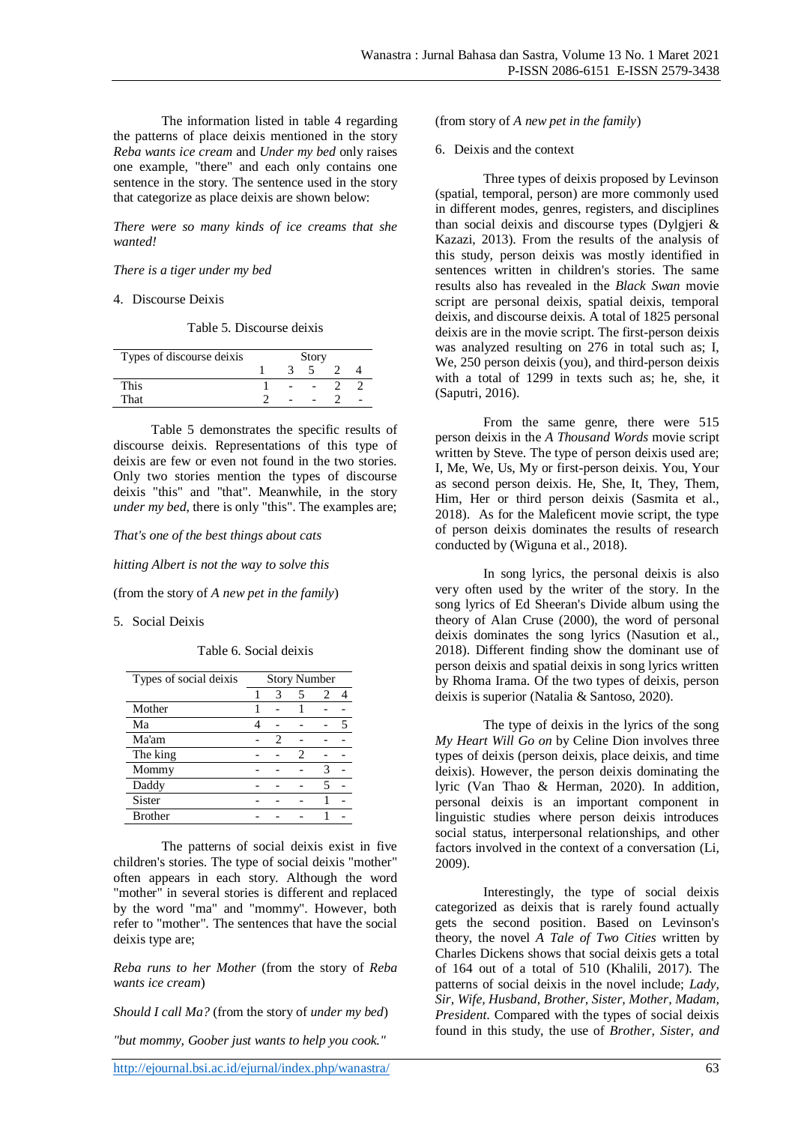The information listed in table 4 regarding the patterns of place deixis mentioned in the story *Reba wants ice cream* and *Under my bed* only raises one example, "there" and each only contains one sentence in the story. The sentence used in the story that categorize as place deixis are shown below:

*There were so many kinds of ice creams that she wanted!*

#### *There is a tiger under my bed*

#### 4. Discourse Deixis

Table 5. Discourse deixis

| Types of discourse deixis | Story |  |  |  |  |
|---------------------------|-------|--|--|--|--|
|                           |       |  |  |  |  |
| <b>This</b>               |       |  |  |  |  |
| That                      |       |  |  |  |  |

Table 5 demonstrates the specific results of discourse deixis. Representations of this type of deixis are few or even not found in the two stories. Only two stories mention the types of discourse deixis "this" and "that". Meanwhile, in the story *under my bed*, there is only "this". The examples are;

*That's one of the best things about cats*

*hitting Albert is not the way to solve this*

(from the story of *A new pet in the family*)

5. Social Deixis

Table 6. Social deixis

| Types of social deixis | <b>Story Number</b> |   |   |   |  |  |
|------------------------|---------------------|---|---|---|--|--|
|                        |                     | 3 | 5 | 2 |  |  |
| Mother                 |                     |   |   |   |  |  |
| Ma                     |                     |   |   |   |  |  |
| Ma'am                  |                     | 2 |   |   |  |  |
| The king               |                     |   | 2 |   |  |  |
| Mommy                  |                     |   |   | 3 |  |  |
| Daddy                  |                     |   |   |   |  |  |
| Sister                 |                     |   |   |   |  |  |
| <b>Brother</b>         |                     |   |   |   |  |  |

The patterns of social deixis exist in five children's stories. The type of social deixis "mother" often appears in each story. Although the word "mother" in several stories is different and replaced by the word "ma" and "mommy". However, both refer to "mother". The sentences that have the social deixis type are;

*Reba runs to her Mother* (from the story of *Reba wants ice cream*)

*Should I call Ma?* (from the story of *under my bed*)

*"but mommy, Goober just wants to help you cook."*

#### (from story of *A new pet in the family*)

#### 6. Deixis and the context

Three types of deixis proposed by Levinson (spatial, temporal, person) are more commonly used in different modes, genres, registers, and disciplines than social deixis and discourse types (Dylgjeri & Kazazi, 2013). From the results of the analysis of this study, person deixis was mostly identified in sentences written in children's stories. The same results also has revealed in the *Black Swan* movie script are personal deixis, spatial deixis, temporal deixis, and discourse deixis. A total of 1825 personal deixis are in the movie script. The first-person deixis was analyzed resulting on 276 in total such as; I, We, 250 person deixis (you), and third-person deixis with a total of 1299 in texts such as; he, she, it (Saputri, 2016).

From the same genre, there were 515 person deixis in the *A Thousand Words* movie script written by Steve. The type of person deixis used are; I, Me, We, Us, My or first-person deixis. You, Your as second person deixis. He, She, It, They, Them, Him, Her or third person deixis (Sasmita et al., 2018). As for the Maleficent movie script, the type of person deixis dominates the results of research conducted by (Wiguna et al., 2018).

In song lyrics, the personal deixis is also very often used by the writer of the story. In the song lyrics of Ed Sheeran's Divide album using the theory of Alan Cruse (2000), the word of personal deixis dominates the song lyrics (Nasution et al., 2018). Different finding show the dominant use of person deixis and spatial deixis in song lyrics written by Rhoma Irama. Of the two types of deixis, person deixis is superior (Natalia & Santoso, 2020).

The type of deixis in the lyrics of the song *My Heart Will Go on* by Celine Dion involves three types of deixis (person deixis, place deixis, and time deixis). However, the person deixis dominating the lyric (Van Thao & Herman, 2020). In addition, personal deixis is an important component in linguistic studies where person deixis introduces social status, interpersonal relationships, and other factors involved in the context of a conversation (Li, 2009).

Interestingly, the type of social deixis categorized as deixis that is rarely found actually gets the second position. Based on Levinson's theory, the novel *A Tale of Two Cities* written by Charles Dickens shows that social deixis gets a total of 164 out of a total of 510 (Khalili, 2017). The patterns of social deixis in the novel include; *Lady, Sir, Wife, Husband, Brother, Sister, Mother, Madam, President*. Compared with the types of social deixis found in this study, the use of *Brother, Sister, and*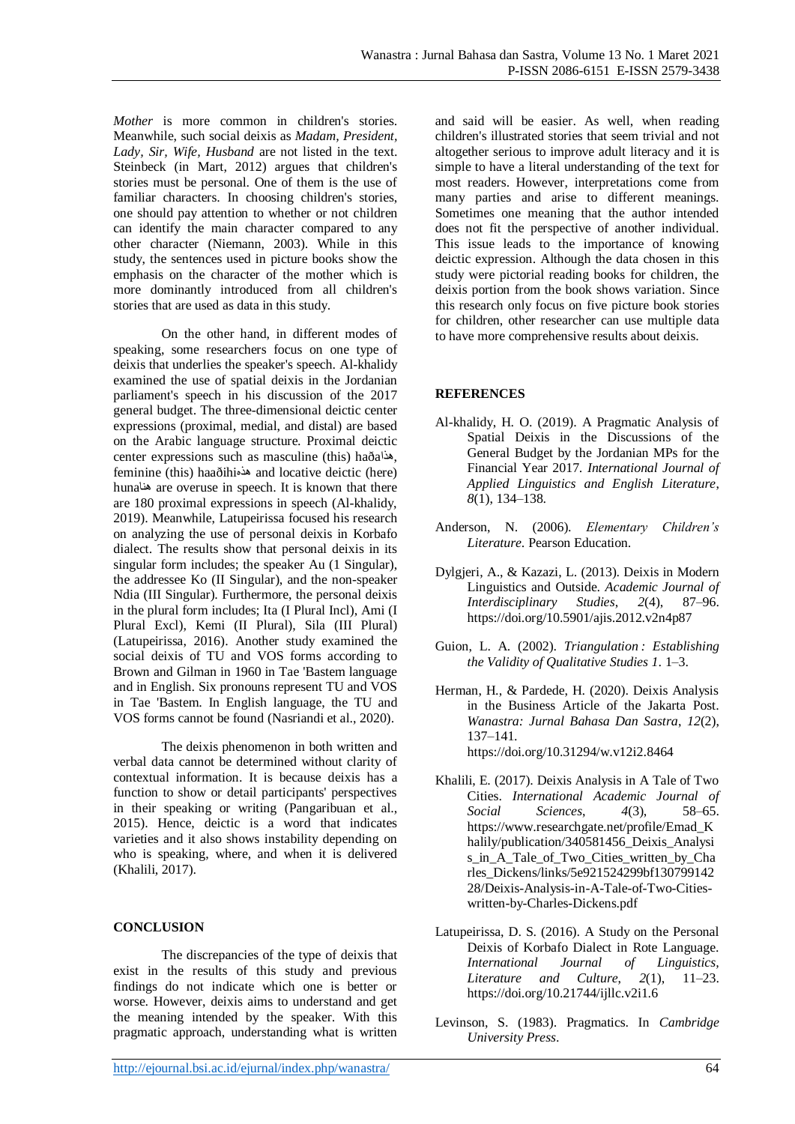*Mother* is more common in children's stories. Meanwhile, such social deixis as *Madam, President, Lady, Sir, Wife, Husband* are not listed in the text. Steinbeck (in Mart, 2012) argues that children's stories must be personal. One of them is the use of familiar characters. In choosing children's stories, one should pay attention to whether or not children can identify the main character compared to any other character (Niemann, 2003). While in this study, the sentences used in picture books show the emphasis on the character of the mother which is more dominantly introduced from all children's stories that are used as data in this study.

On the other hand, in different modes of speaking, some researchers focus on one type of deixis that underlies the speaker's speech. Al-khalidy examined the use of spatial deixis in the Jordanian parliament's speech in his discussion of the 2017 general budget. The three-dimensional deictic center expressions (proximal, medial, and distal) are based on the Arabic language structure. Proximal deictic center expressions such as masculine (this) haða feminine (this) haaðihiھذه and locative deictic (here) hunaھنا are overuse in speech. It is known that there are 180 proximal expressions in speech (Al-khalidy, 2019). Meanwhile, Latupeirissa focused his research on analyzing the use of personal deixis in Korbafo dialect. The results show that personal deixis in its singular form includes; the speaker Au (1 Singular), the addressee Ko (II Singular), and the non-speaker Ndia (III Singular). Furthermore, the personal deixis in the plural form includes; Ita (I Plural Incl), Ami (I Plural Excl), Kemi (II Plural), Sila (III Plural) (Latupeirissa, 2016). Another study examined the social deixis of TU and VOS forms according to Brown and Gilman in 1960 in Tae 'Bastem language and in English. Six pronouns represent TU and VOS in Tae 'Bastem. In English language, the TU and VOS forms cannot be found (Nasriandi et al., 2020).

The deixis phenomenon in both written and verbal data cannot be determined without clarity of contextual information. It is because deixis has a function to show or detail participants' perspectives in their speaking or writing (Pangaribuan et al., 2015). Hence, deictic is a word that indicates varieties and it also shows instability depending on who is speaking, where, and when it is delivered (Khalili, 2017).

## **CONCLUSION**

The discrepancies of the type of deixis that exist in the results of this study and previous findings do not indicate which one is better or worse. However, deixis aims to understand and get the meaning intended by the speaker. With this pragmatic approach, understanding what is written and said will be easier. As well, when reading children's illustrated stories that seem trivial and not altogether serious to improve adult literacy and it is simple to have a literal understanding of the text for most readers. However, interpretations come from many parties and arise to different meanings. Sometimes one meaning that the author intended does not fit the perspective of another individual. This issue leads to the importance of knowing deictic expression. Although the data chosen in this study were pictorial reading books for children, the deixis portion from the book shows variation. Since this research only focus on five picture book stories for children, other researcher can use multiple data to have more comprehensive results about deixis.

## **REFERENCES**

- Al-khalidy, H. O. (2019). A Pragmatic Analysis of Spatial Deixis in the Discussions of the General Budget by the Jordanian MPs for the Financial Year 2017. *International Journal of Applied Linguistics and English Literature*, *8*(1), 134–138.
- Anderson, N. (2006). *Elementary Children's Literature*. Pearson Education.
- Dylgjeri, A., & Kazazi, L. (2013). Deixis in Modern Linguistics and Outside. *Academic Journal of Interdisciplinary Studies*, *2*(4), 87–96. https://doi.org/10.5901/ajis.2012.v2n4p87
- Guion, L. A. (2002). *Triangulation : Establishing the Validity of Qualitative Studies 1*. 1–3.
- Herman, H., & Pardede, H. (2020). Deixis Analysis in the Business Article of the Jakarta Post. *Wanastra: Jurnal Bahasa Dan Sastra*, *12*(2), 137–141. https://doi.org/10.31294/w.v12i2.8464

Khalili, E. (2017). Deixis Analysis in A Tale of Two Cities. *International Academic Journal of Social Sciences*, *4*(3), 58–65. https://www.researchgate.net/profile/Emad\_K halily/publication/340581456\_Deixis\_Analysi s\_in\_A\_Tale\_of\_Two\_Cities\_written\_by\_Cha rles Dickens/links/5e921524299bf130799142 28/Deixis-Analysis-in-A-Tale-of-Two-Citieswritten-by-Charles-Dickens.pdf

- Latupeirissa, D. S. (2016). A Study on the Personal Deixis of Korbafo Dialect in Rote Language. *International Journal of Linguistics, Literature and Culture*, *2*(1), 11–23. https://doi.org/10.21744/ijllc.v2i1.6
- Levinson, S. (1983). Pragmatics. In *Cambridge University Press*.